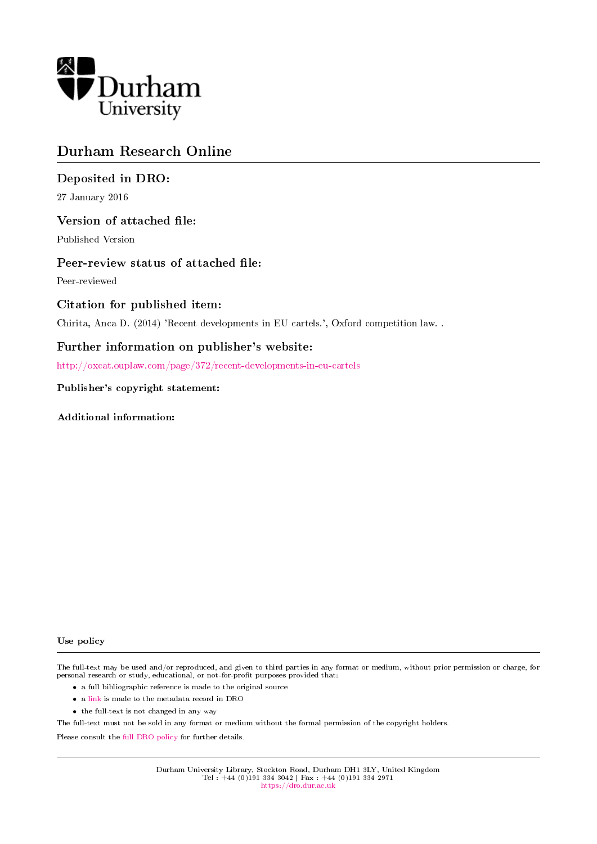

## Durham Research Online

## Deposited in DRO:

27 January 2016

#### Version of attached file:

Published Version

#### Peer-review status of attached file:

Peer-reviewed

#### Citation for published item:

Chirita, Anca D. (2014) 'Recent developments in EU cartels.', Oxford competition law. .

#### Further information on publisher's website:

<http://oxcat.ouplaw.com/page/372/recent-developments-in-eu-cartels>

#### Publisher's copyright statement:

Additional information:

#### Use policy

The full-text may be used and/or reproduced, and given to third parties in any format or medium, without prior permission or charge, for personal research or study, educational, or not-for-profit purposes provided that:

- a full bibliographic reference is made to the original source
- a [link](http://dro.dur.ac.uk/17245/) is made to the metadata record in DRO
- the full-text is not changed in any way

The full-text must not be sold in any format or medium without the formal permission of the copyright holders.

Please consult the [full DRO policy](https://dro.dur.ac.uk/policies/usepolicy.pdf) for further details.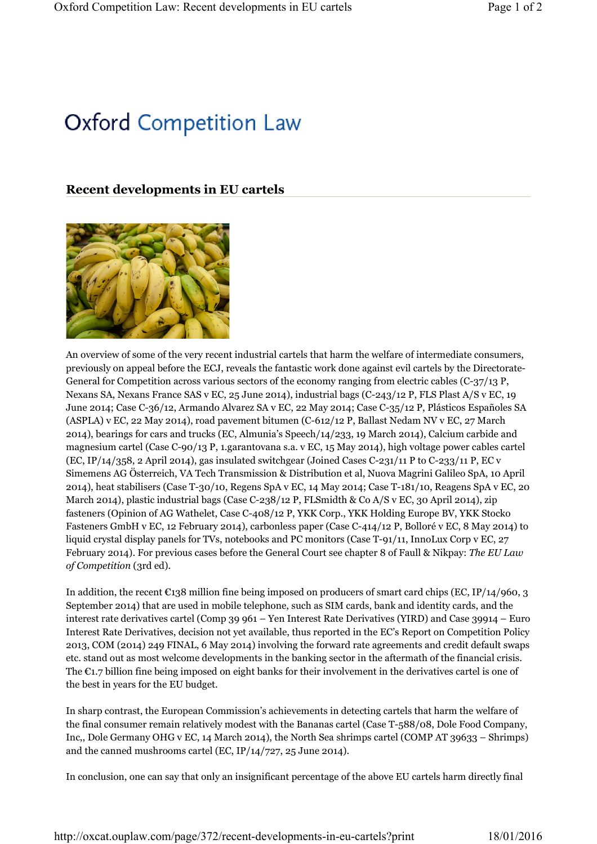# **Oxford Competition Law**

## **Recent developments in EU cartels**



An overview of some of the very recent industrial cartels that harm the welfare of intermediate consumers, previously on appeal before the ECJ, reveals the fantastic work done against evil cartels by the Directorate-General for Competition across various sectors of the economy ranging from electric cables (C-37/13 P, Nexans SA, Nexans France SAS v EC, 25 June 2014), industrial bags (C-243/12 P, FLS Plast A/S v EC, 19 June 2014; Case C-36/12, Armando Alvarez SA v EC, 22 May 2014; Case C-35/12 P, Plásticos Españoles SA (ASPLA) v EC, 22 May 2014), road pavement bitumen (C-612/12 P, Ballast Nedam NV v EC, 27 March 2014), bearings for cars and trucks (EC, Almunia's Speech/14/233, 19 March 2014), Calcium carbide and magnesium cartel (Case C-90/13 P, 1.garantovana s.a. v EC, 15 May 2014), high voltage power cables cartel (EC, IP/14/358, 2 April 2014), gas insulated switchgear (Joined Cases C-231/11 P to C-233/11 P, EC v Simemens AG Österreich, VA Tech Transmission & Distribution et al, Nuova Magrini Galileo SpA, 10 April 2014), heat stabilisers (Case T-30/10, Regens SpA v EC, 14 May 2014; Case T-181/10, Reagens SpA v EC, 20 March 2014), plastic industrial bags (Case C-238/12 P, FLSmidth & Co A/S v EC, 30 April 2014), zip fasteners (Opinion of AG Wathelet, Case C-408/12 P, YKK Corp., YKK Holding Europe BV, YKK Stocko Fasteners GmbH v EC, 12 February 2014), carbonless paper (Case C-414/12 P, Bolloré v EC, 8 May 2014) to liquid crystal display panels for TVs, notebooks and PC monitors (Case T-91/11, InnoLux Corp v EC, 27) February 2014). For previous cases before the General Court see chapter 8 of Faull & Nikpay: *The EU Law of Competition* (3rd ed).

In addition, the recent  $\epsilon_{138}$  million fine being imposed on producers of smart card chips (EC, IP/14/960, 3) September 2014) that are used in mobile telephone, such as SIM cards, bank and identity cards, and the interest rate derivatives cartel (Comp 39 961 – Yen Interest Rate Derivatives (YIRD) and Case 39914 – Euro Interest Rate Derivatives, decision not yet available, thus reported in the EC's Report on Competition Policy 2013, COM (2014) 249 FINAL, 6 May 2014) involving the forward rate agreements and credit default swaps etc. stand out as most welcome developments in the banking sector in the aftermath of the financial crisis. The €1.7 billion fine being imposed on eight banks for their involvement in the derivatives cartel is one of the best in years for the EU budget.

In sharp contrast, the European Commission's achievements in detecting cartels that harm the welfare of the final consumer remain relatively modest with the Bananas cartel (Case T-588/08, Dole Food Company, Inc,, Dole Germany OHG v EC, 14 March 2014), the North Sea shrimps cartel (COMP AT 39633 – Shrimps) and the canned mushrooms cartel (EC, IP/14/727, 25 June 2014).

In conclusion, one can say that only an insignificant percentage of the above EU cartels harm directly final